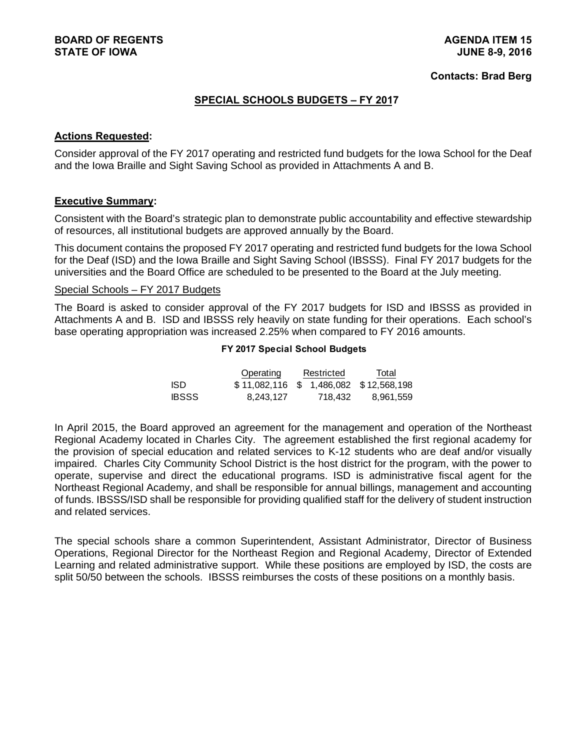#### **Contacts: Brad Berg**

## **SPECIAL SCHOOLS BUDGETS – FY 2017**

## **Actions Requested:**

Consider approval of the FY 2017 operating and restricted fund budgets for the Iowa School for the Deaf and the Iowa Braille and Sight Saving School as provided in Attachments A and B.

#### **Executive Summary:**

Consistent with the Board's strategic plan to demonstrate public accountability and effective stewardship of resources, all institutional budgets are approved annually by the Board.

This document contains the proposed FY 2017 operating and restricted fund budgets for the Iowa School for the Deaf (ISD) and the Iowa Braille and Sight Saving School (IBSSS). Final FY 2017 budgets for the universities and the Board Office are scheduled to be presented to the Board at the July meeting.

#### Special Schools – FY 2017 Budgets

The Board is asked to consider approval of the FY 2017 budgets for ISD and IBSSS as provided in Attachments A and B. ISD and IBSSS rely heavily on state funding for their operations. Each school's base operating appropriation was increased 2.25% when compared to FY 2016 amounts.

#### **FY 2017 Special School Budgets**

|              | Operating    | Restricted |         | Total                     |  |
|--------------|--------------|------------|---------|---------------------------|--|
| ISD.         | \$11.082.116 |            |         | \$ 1.486.082 \$12.568.198 |  |
| <b>IBSSS</b> | 8.243.127    |            | 718.432 | 8.961.559                 |  |

In April 2015, the Board approved an agreement for the management and operation of the Northeast Regional Academy located in Charles City. The agreement established the first regional academy for the provision of special education and related services to K-12 students who are deaf and/or visually impaired. Charles City Community School District is the host district for the program, with the power to operate, supervise and direct the educational programs. ISD is administrative fiscal agent for the Northeast Regional Academy, and shall be responsible for annual billings, management and accounting of funds. IBSSS/ISD shall be responsible for providing qualified staff for the delivery of student instruction and related services.

The special schools share a common Superintendent, Assistant Administrator, Director of Business Operations, Regional Director for the Northeast Region and Regional Academy, Director of Extended Learning and related administrative support. While these positions are employed by ISD, the costs are split 50/50 between the schools. IBSSS reimburses the costs of these positions on a monthly basis.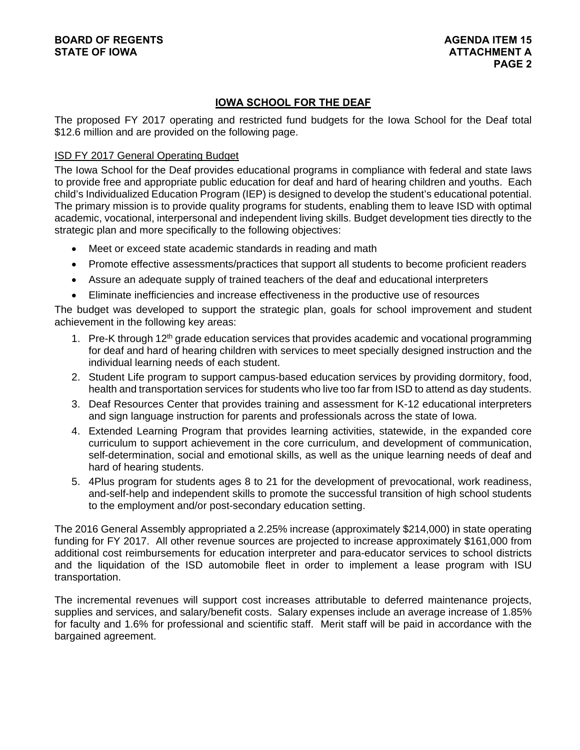# **IOWA SCHOOL FOR THE DEAF**

The proposed FY 2017 operating and restricted fund budgets for the Iowa School for the Deaf total \$12.6 million and are provided on the following page.

## ISD FY 2017 General Operating Budget

The Iowa School for the Deaf provides educational programs in compliance with federal and state laws to provide free and appropriate public education for deaf and hard of hearing children and youths. Each child's Individualized Education Program (IEP) is designed to develop the student's educational potential. The primary mission is to provide quality programs for students, enabling them to leave ISD with optimal academic, vocational, interpersonal and independent living skills. Budget development ties directly to the strategic plan and more specifically to the following objectives:

- Meet or exceed state academic standards in reading and math
- Promote effective assessments/practices that support all students to become proficient readers
- Assure an adequate supply of trained teachers of the deaf and educational interpreters
- Eliminate inefficiencies and increase effectiveness in the productive use of resources

The budget was developed to support the strategic plan, goals for school improvement and student achievement in the following key areas:

- 1. Pre-K through 12<sup>th</sup> grade education services that provides academic and vocational programming for deaf and hard of hearing children with services to meet specially designed instruction and the individual learning needs of each student.
- 2. Student Life program to support campus-based education services by providing dormitory, food, health and transportation services for students who live too far from ISD to attend as day students.
- 3. Deaf Resources Center that provides training and assessment for K-12 educational interpreters and sign language instruction for parents and professionals across the state of Iowa.
- 4. Extended Learning Program that provides learning activities, statewide, in the expanded core curriculum to support achievement in the core curriculum, and development of communication, self-determination, social and emotional skills, as well as the unique learning needs of deaf and hard of hearing students.
- 5. 4Plus program for students ages 8 to 21 for the development of prevocational, work readiness, and-self-help and independent skills to promote the successful transition of high school students to the employment and/or post-secondary education setting.

The 2016 General Assembly appropriated a 2.25% increase (approximately \$214,000) in state operating funding for FY 2017. All other revenue sources are projected to increase approximately \$161,000 from additional cost reimbursements for education interpreter and para-educator services to school districts and the liquidation of the ISD automobile fleet in order to implement a lease program with ISU transportation.

The incremental revenues will support cost increases attributable to deferred maintenance projects, supplies and services, and salary/benefit costs. Salary expenses include an average increase of 1.85% for faculty and 1.6% for professional and scientific staff. Merit staff will be paid in accordance with the bargained agreement.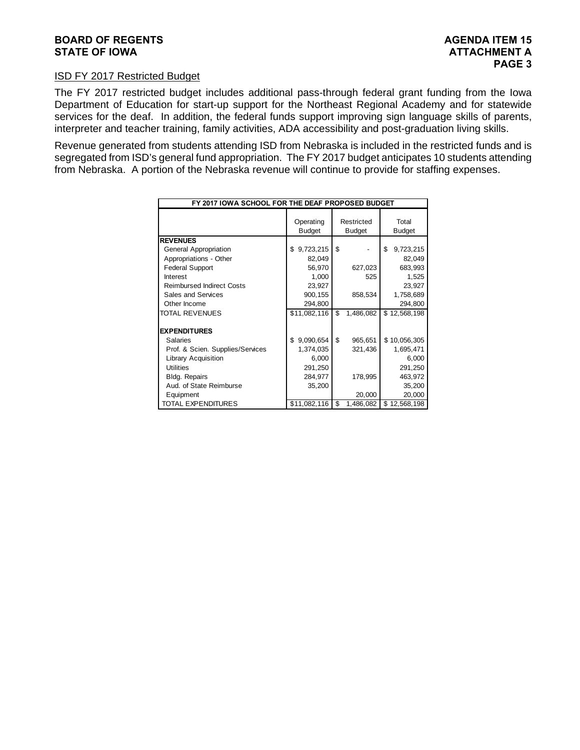#### ISD FY 2017 Restricted Budget

The FY 2017 restricted budget includes additional pass-through federal grant funding from the Iowa Department of Education for start-up support for the Northeast Regional Academy and for statewide services for the deaf. In addition, the federal funds support improving sign language skills of parents, interpreter and teacher training, family activities, ADA accessibility and post-graduation living skills.

Revenue generated from students attending ISD from Nebraska is included in the restricted funds and is segregated from ISD's general fund appropriation. The FY 2017 budget anticipates 10 students attending from Nebraska. A portion of the Nebraska revenue will continue to provide for staffing expenses.

| FY 2017 IOWA SCHOOL FOR THE DEAF PROPOSED BUDGET |                            |                             |                        |  |  |  |  |
|--------------------------------------------------|----------------------------|-----------------------------|------------------------|--|--|--|--|
|                                                  | Operating<br><b>Budget</b> | Restricted<br><b>Budget</b> | Total<br><b>Budget</b> |  |  |  |  |
| <b>REVENUES</b>                                  |                            |                             |                        |  |  |  |  |
| General Appropriation                            | 9,723,215<br>\$            | \$                          | \$<br>9,723,215        |  |  |  |  |
| Appropriations - Other                           | 82,049                     |                             | 82,049                 |  |  |  |  |
| <b>Federal Support</b>                           | 56,970                     | 627,023                     | 683,993                |  |  |  |  |
| Interest                                         | 1,000                      | 525                         | 1,525                  |  |  |  |  |
| <b>Reimbursed Indirect Costs</b>                 | 23,927                     |                             | 23,927                 |  |  |  |  |
| <b>Sales and Services</b>                        | 900,155                    | 858,534                     | 1,758,689              |  |  |  |  |
| Other Income                                     | 294,800                    |                             | 294,800                |  |  |  |  |
| <b>TOTAL REVENUES</b>                            | \$11,082,116               | \$<br>1,486,082             | \$<br>12,568,198       |  |  |  |  |
| <b>EXPENDITURES</b>                              |                            |                             |                        |  |  |  |  |
| Salaries                                         | 9,090,654<br>\$            | \$<br>965,651               | \$10,056,305           |  |  |  |  |
| Prof. & Scien. Supplies/Services                 | 1,374,035                  | 321,436                     | 1,695,471              |  |  |  |  |
| Library Acquisition                              | 6,000                      |                             | 6,000                  |  |  |  |  |
| <b>Utilities</b>                                 | 291,250                    |                             | 291,250                |  |  |  |  |
| <b>Bldg. Repairs</b>                             | 284,977                    | 178,995                     | 463,972                |  |  |  |  |
| Aud. of State Reimburse                          | 35,200                     |                             | 35,200                 |  |  |  |  |
| Equipment                                        |                            | 20,000                      | 20,000                 |  |  |  |  |
| <b>TOTAL EXPENDITURES</b>                        | \$11,082,116               | \$<br>1,486,082             | \$<br>12,568,198       |  |  |  |  |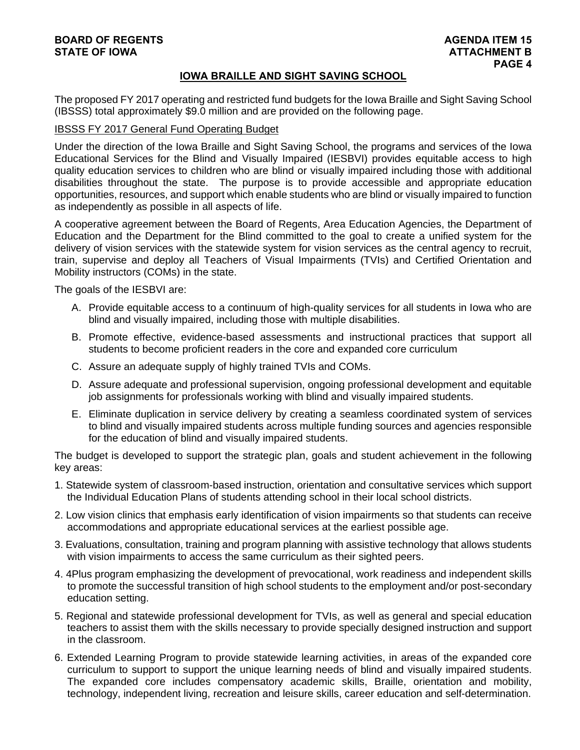# **BOARD OF REGENTS AGENDA ITEM 15**

## **IOWA BRAILLE AND SIGHT SAVING SCHOOL**

The proposed FY 2017 operating and restricted fund budgets for the Iowa Braille and Sight Saving School (IBSSS) total approximately \$9.0 million and are provided on the following page.

#### IBSSS FY 2017 General Fund Operating Budget

Under the direction of the Iowa Braille and Sight Saving School, the programs and services of the Iowa Educational Services for the Blind and Visually Impaired (IESBVI) provides equitable access to high quality education services to children who are blind or visually impaired including those with additional disabilities throughout the state. The purpose is to provide accessible and appropriate education opportunities, resources, and support which enable students who are blind or visually impaired to function as independently as possible in all aspects of life.

A cooperative agreement between the Board of Regents, Area Education Agencies, the Department of Education and the Department for the Blind committed to the goal to create a unified system for the delivery of vision services with the statewide system for vision services as the central agency to recruit, train, supervise and deploy all Teachers of Visual Impairments (TVIs) and Certified Orientation and Mobility instructors (COMs) in the state.

The goals of the IESBVI are:

- A. Provide equitable access to a continuum of high-quality services for all students in Iowa who are blind and visually impaired, including those with multiple disabilities.
- B. Promote effective, evidence-based assessments and instructional practices that support all students to become proficient readers in the core and expanded core curriculum
- C. Assure an adequate supply of highly trained TVIs and COMs.
- D. Assure adequate and professional supervision, ongoing professional development and equitable job assignments for professionals working with blind and visually impaired students.
- E. Eliminate duplication in service delivery by creating a seamless coordinated system of services to blind and visually impaired students across multiple funding sources and agencies responsible for the education of blind and visually impaired students.

The budget is developed to support the strategic plan, goals and student achievement in the following key areas:

- 1. Statewide system of classroom-based instruction, orientation and consultative services which support the Individual Education Plans of students attending school in their local school districts.
- 2. Low vision clinics that emphasis early identification of vision impairments so that students can receive accommodations and appropriate educational services at the earliest possible age.
- 3. Evaluations, consultation, training and program planning with assistive technology that allows students with vision impairments to access the same curriculum as their sighted peers.
- 4. 4Plus program emphasizing the development of prevocational, work readiness and independent skills to promote the successful transition of high school students to the employment and/or post-secondary education setting.
- 5. Regional and statewide professional development for TVIs, as well as general and special education teachers to assist them with the skills necessary to provide specially designed instruction and support in the classroom.
- 6. Extended Learning Program to provide statewide learning activities, in areas of the expanded core curriculum to support to support the unique learning needs of blind and visually impaired students. The expanded core includes compensatory academic skills, Braille, orientation and mobility, technology, independent living, recreation and leisure skills, career education and self-determination.